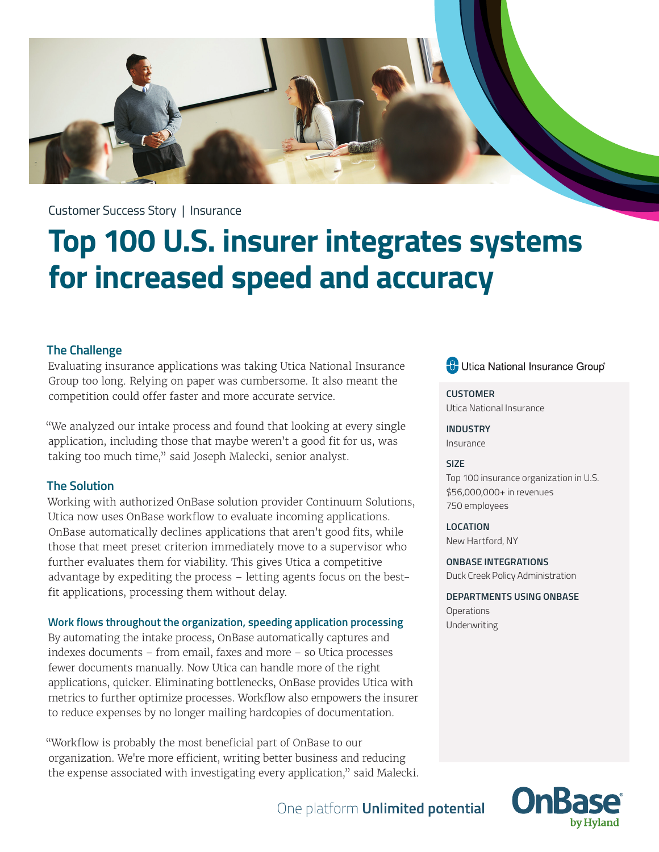

Customer Success Story | Insurance

# **Top 100 U.S. insurer integrates systems for increased speed and accuracy**

### **The Challenge**

Evaluating insurance applications was taking Utica National Insurance Group too long. Relying on paper was cumbersome. It also meant the competition could offer faster and more accurate service.

"We analyzed our intake process and found that looking at every single application, including those that maybe weren't a good fit for us, was taking too much time," said Joseph Malecki, senior analyst.

# **The Solution**

Working with authorized OnBase solution provider Continuum Solutions, Utica now uses OnBase workflow to evaluate incoming applications. OnBase automatically declines applications that aren't good fits, while those that meet preset criterion immediately move to a supervisor who further evaluates them for viability. This gives Utica a competitive advantage by expediting the process – letting agents focus on the bestfit applications, processing them without delay.

#### **Work flows throughout the organization, speeding application processing**

By automating the intake process, OnBase automatically captures and indexes documents – from email, faxes and more – so Utica processes fewer documents manually. Now Utica can handle more of the right applications, quicker. Eliminating bottlenecks, OnBase provides Utica with metrics to further optimize processes. Workflow also empowers the insurer to reduce expenses by no longer mailing hardcopies of documentation.

"Workflow is probably the most beneficial part of OnBase to our organization. We're more efficient, writing better business and reducing the expense associated with investigating every application," said Malecki. **C** Utica National Insurance Group®

**CUSTOMER** Utica National Insurance

**INDUSTRY** Insurance

#### **SIZE**

Top 100 insurance organization in U.S. \$56,000,000+ in revenues 750 employees

**LOCATION** New Hartford, NY

**ONBASE INTEGRATIONS** Duck Creek Policy Administration

**DEPARTMENTS USING ONBASE Operations** Underwriting



# One platform **Unlimited potential**